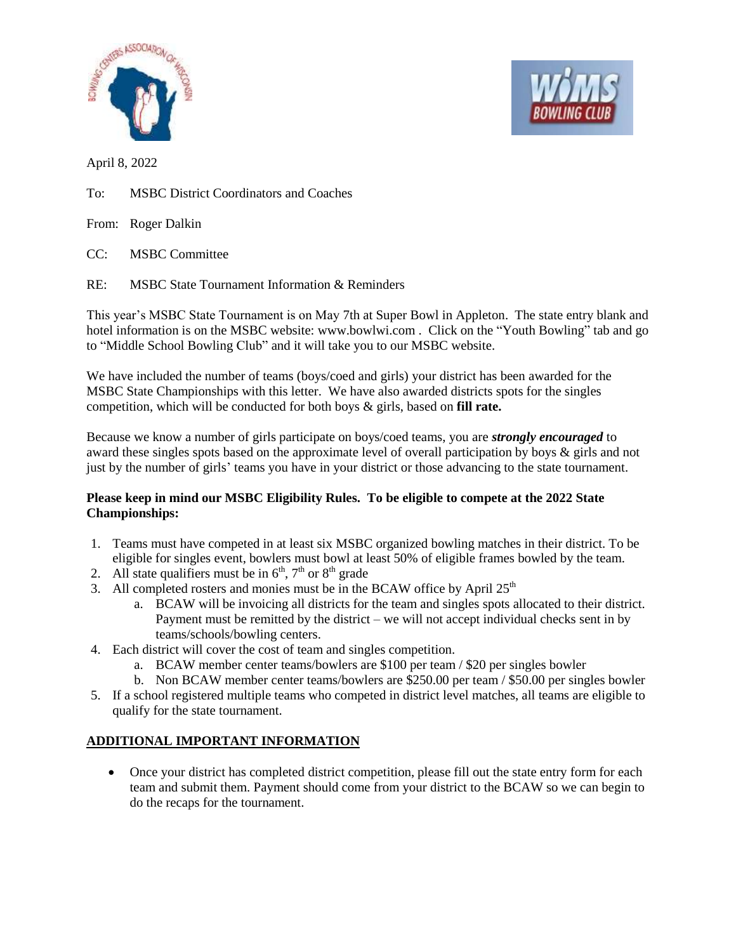



April 8, 2022

To: MSBC District Coordinators and Coaches

From: Roger Dalkin

CC: MSBC Committee

RE: MSBC State Tournament Information & Reminders

This year's MSBC State Tournament is on May 7th at Super Bowl in Appleton. The state entry blank and hotel information is on the MSBC website: www.bowlwi.com . Click on the "Youth Bowling" tab and go to "Middle School Bowling Club" and it will take you to our MSBC website.

We have included the number of teams (boys/coed and girls) your district has been awarded for the MSBC State Championships with this letter. We have also awarded districts spots for the singles competition, which will be conducted for both boys & girls, based on **fill rate.**

Because we know a number of girls participate on boys/coed teams, you are *strongly encouraged* to award these singles spots based on the approximate level of overall participation by boys & girls and not just by the number of girls' teams you have in your district or those advancing to the state tournament.

## **Please keep in mind our MSBC Eligibility Rules. To be eligible to compete at the 2022 State Championships:**

- 1. Teams must have competed in at least six MSBC organized bowling matches in their district. To be eligible for singles event, bowlers must bowl at least 50% of eligible frames bowled by the team.
- 2. All state qualifiers must be in  $6<sup>th</sup>$ ,  $7<sup>th</sup>$  or  $8<sup>th</sup>$  grade
- 3. All completed rosters and monies must be in the BCAW office by April 25<sup>th</sup>
	- a. BCAW will be invoicing all districts for the team and singles spots allocated to their district. Payment must be remitted by the district – we will not accept individual checks sent in by teams/schools/bowling centers.
- 4. Each district will cover the cost of team and singles competition.
	- a. BCAW member center teams/bowlers are \$100 per team / \$20 per singles bowler
	- b. Non BCAW member center teams/bowlers are \$250.00 per team / \$50.00 per singles bowler
- 5. If a school registered multiple teams who competed in district level matches, all teams are eligible to qualify for the state tournament.

## **ADDITIONAL IMPORTANT INFORMATION**

 Once your district has completed district competition, please fill out the state entry form for each team and submit them. Payment should come from your district to the BCAW so we can begin to do the recaps for the tournament.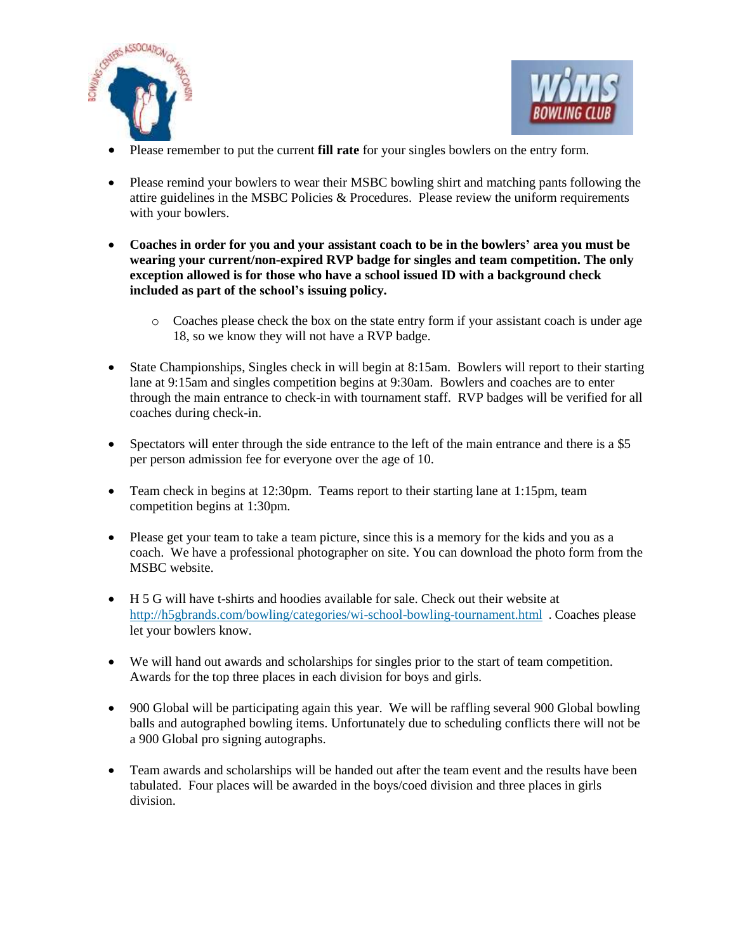



- Please remember to put the current **fill rate** for your singles bowlers on the entry form.
- Please remind your bowlers to wear their MSBC bowling shirt and matching pants following the attire guidelines in the MSBC Policies  $&$  Procedures. Please review the uniform requirements with your bowlers.
- **Coaches in order for you and your assistant coach to be in the bowlers' area you must be wearing your current/non-expired RVP badge for singles and team competition. The only exception allowed is for those who have a school issued ID with a background check included as part of the school's issuing policy.**
	- o Coaches please check the box on the state entry form if your assistant coach is under age 18, so we know they will not have a RVP badge.
- State Championships, Singles check in will begin at 8:15am. Bowlers will report to their starting lane at 9:15am and singles competition begins at 9:30am. Bowlers and coaches are to enter through the main entrance to check-in with tournament staff. RVP badges will be verified for all coaches during check-in.
- Spectators will enter through the side entrance to the left of the main entrance and there is a \$5 per person admission fee for everyone over the age of 10.
- Team check in begins at 12:30pm. Teams report to their starting lane at 1:15pm, team competition begins at 1:30pm.
- Please get your team to take a team picture, since this is a memory for the kids and you as a coach. We have a professional photographer on site. You can download the photo form from the MSBC website.
- H 5 G will have t-shirts and hoodies available for sale. Check out their website at <http://h5gbrands.com/bowling/categories/wi-school-bowling-tournament.html> . Coaches please let your bowlers know.
- We will hand out awards and scholarships for singles prior to the start of team competition. Awards for the top three places in each division for boys and girls.
- 900 Global will be participating again this year. We will be raffling several 900 Global bowling balls and autographed bowling items. Unfortunately due to scheduling conflicts there will not be a 900 Global pro signing autographs.
- Team awards and scholarships will be handed out after the team event and the results have been tabulated. Four places will be awarded in the boys/coed division and three places in girls division.